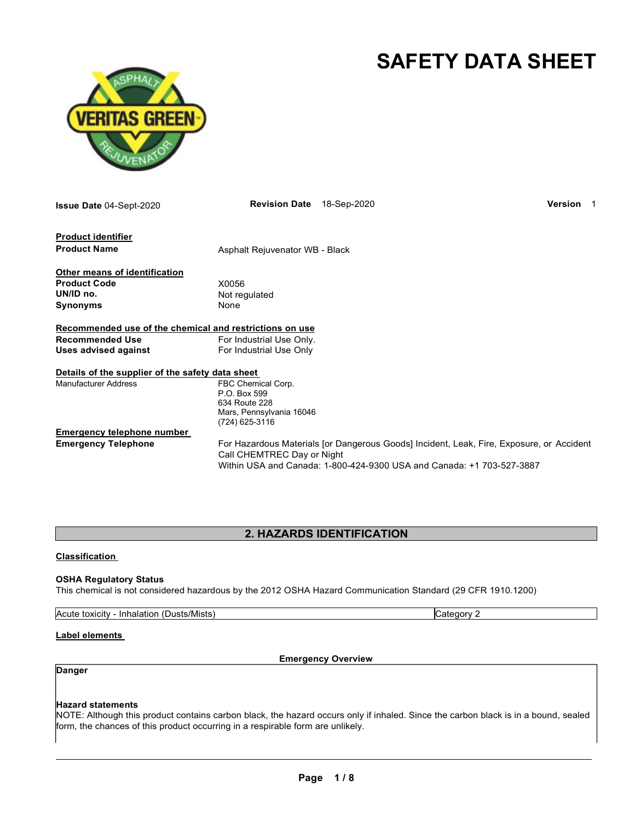# **SAFETY DATA SHEET**

Category 2



| <b>Issue Date 04-Sept-2020</b>                                                       | <b>Revision Date</b>                                                                              | 18-Sep-2020                                                                                                                                                       | Version |  |
|--------------------------------------------------------------------------------------|---------------------------------------------------------------------------------------------------|-------------------------------------------------------------------------------------------------------------------------------------------------------------------|---------|--|
| <b>Product identifier</b><br><b>Product Name</b>                                     | Asphalt Rejuvenator WB - Black                                                                    |                                                                                                                                                                   |         |  |
| Other means of identification<br><b>Product Code</b><br>UN/ID no.<br><b>Synonyms</b> | X0056<br>Not regulated<br>None                                                                    |                                                                                                                                                                   |         |  |
| Recommended use of the chemical and restrictions on use                              |                                                                                                   |                                                                                                                                                                   |         |  |
| <b>Recommended Use</b>                                                               | For Industrial Use Only.                                                                          |                                                                                                                                                                   |         |  |
| <b>Uses advised against</b>                                                          | For Industrial Use Only                                                                           |                                                                                                                                                                   |         |  |
| Details of the supplier of the safety data sheet                                     |                                                                                                   |                                                                                                                                                                   |         |  |
| <b>Manufacturer Address</b>                                                          | FBC Chemical Corp.<br>P.O. Box 599<br>634 Route 228<br>Mars, Pennsylvania 16046<br>(724) 625-3116 |                                                                                                                                                                   |         |  |
| <b>Emergency telephone number</b>                                                    |                                                                                                   |                                                                                                                                                                   |         |  |
| <b>Emergency Telephone</b>                                                           | Call CHEMTREC Day or Night                                                                        | For Hazardous Materials [or Dangerous Goods] Incident, Leak, Fire, Exposure, or Accident<br>Within USA and Canada: 1-800-424-9300 USA and Canada: +1 703-527-3887 |         |  |

# **2. HAZARDS IDENTIFICATION**

#### **Classification**

#### **OSHA Regulatory Status**

This chemical is not considered hazardous by the 2012 OSHA Hazard Communication Standard (29 CFR 1910.1200)

| Acute toxicity - Inhalation (Dusts/Mists) |  |
|-------------------------------------------|--|
|                                           |  |

#### **Label elements**

**Emergency Overview**

# **Danger**

#### **Hazard statements**

NOTE: Although this product contains carbon black, the hazard occurs only if inhaled. Since the carbon black is in a bound, sealed form, the chances of this product occurring in a respirable form are unlikely.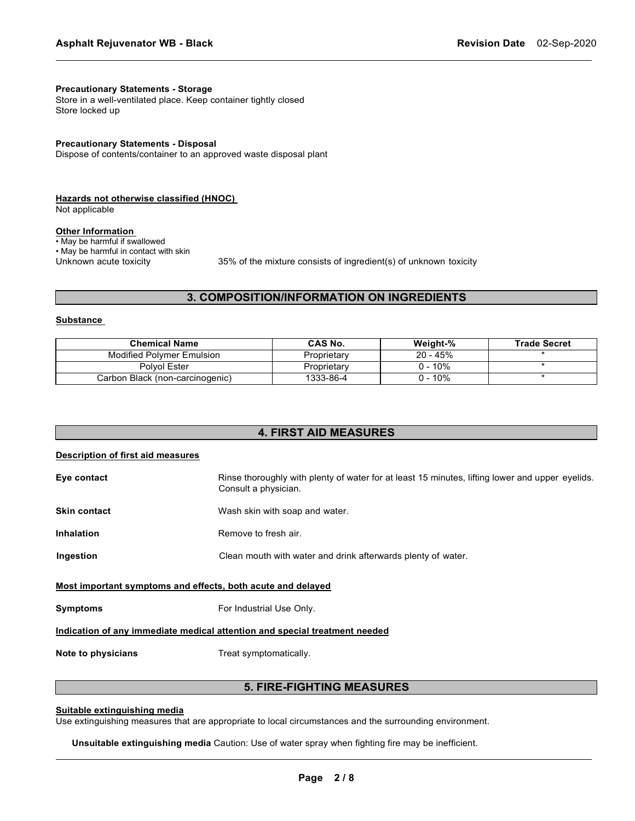#### **Precautionary Statements - Storage**

Store in a well-ventilated place. Keep container tightly closed Store locked up

#### **Precautionary Statements - Disposal**

Dispose of contents/container to an approved waste disposal plant

#### **Hazards not otherwise classified (HNOC)**

Not applicable

## **Other Information**

• May be harmful if swallowed

• May be harmful in contact with skin<br>Unknown acute toxicity

35% of the mixture consists of ingredient(s) of unknown toxicity

# **3. COMPOSITION/INFORMATION ON INGREDIENTS**

#### **Substance**

| <b>Chemical Name</b>             | <b>CAS No.</b> | Weight-%  | <b>Trade Secret</b> |
|----------------------------------|----------------|-----------|---------------------|
| <b>Modified Polymer Emulsion</b> | Proprietary    | 20 - 45%  |                     |
| Polvol Ester                     | Proprietary    | $0 - 10%$ |                     |
| Carbon Black (non-carcinogenic)  | 1333-86-4      | 0 - 10%   |                     |

#### **4. FIRST AID MEASURES**

#### **Description of first aid measures**

| Rinse thoroughly with plenty of water for at least 15 minutes, lifting lower and upper eyelids.<br>Consult a physician. |  |  |
|-------------------------------------------------------------------------------------------------------------------------|--|--|
| Wash skin with soap and water.                                                                                          |  |  |
| Remove to fresh air.                                                                                                    |  |  |
| Clean mouth with water and drink afterwards plenty of water.                                                            |  |  |
| Most important symptoms and effects, both acute and delayed                                                             |  |  |
| For Industrial Use Only.                                                                                                |  |  |
| Indication of any immediate medical attention and special treatment needed                                              |  |  |
|                                                                                                                         |  |  |

**Note to physicians** Treat symptomatically.

#### **5. FIRE-FIGHTING MEASURES**

#### **Suitable extinguishing media**

Use extinguishing measures that are appropriate to local circumstances and the surrounding environment.

**Unsuitable extinguishing media** Caution: Use of water spray when fighting fire may be inefficient.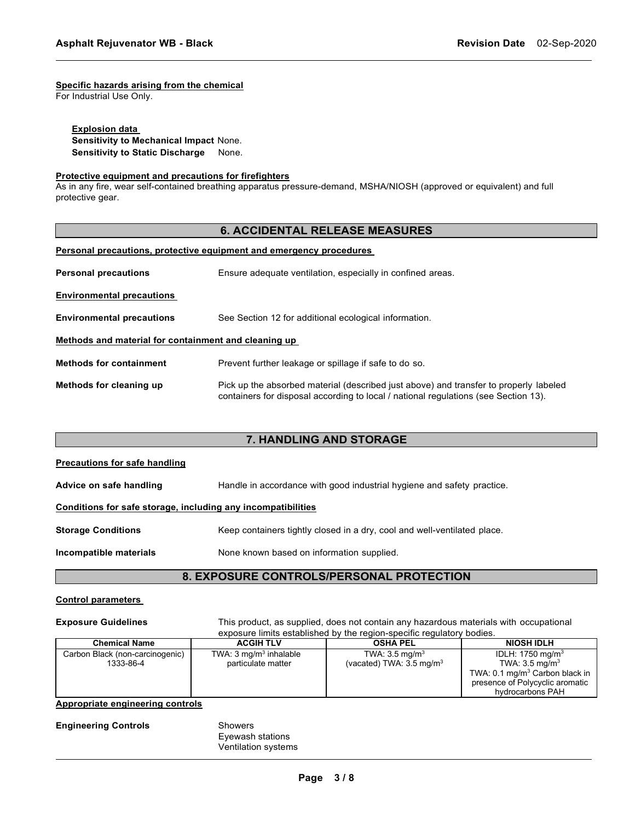### **Specific hazards arising from the chemical**

For Industrial Use Only.

**Explosion data Sensitivity to Mechanical Impact** None. **Sensitivity to Static Discharge** None.

#### **Protective equipment and precautions for firefighters**

As in any fire, wear self-contained breathing apparatus pressure-demand, MSHA/NIOSH (approved or equivalent) and full protective gear.

# **6. ACCIDENTAL RELEASE MEASURES**

#### **Personal precautions, protective equipment and emergency procedures**

| <b>Personal precautions</b>                          | Ensure adequate ventilation, especially in confined areas.                                                                                                                   |  |  |
|------------------------------------------------------|------------------------------------------------------------------------------------------------------------------------------------------------------------------------------|--|--|
| <b>Environmental precautions</b>                     |                                                                                                                                                                              |  |  |
| <b>Environmental precautions</b>                     | See Section 12 for additional ecological information.                                                                                                                        |  |  |
| Methods and material for containment and cleaning up |                                                                                                                                                                              |  |  |
| <b>Methods for containment</b>                       | Prevent further leakage or spillage if safe to do so.                                                                                                                        |  |  |
| Methods for cleaning up                              | Pick up the absorbed material (described just above) and transfer to properly labeled<br>containers for disposal according to local / national regulations (see Section 13). |  |  |

# **7. HANDLING AND STORAGE**

| Precautions for safe handling                                |                                                                          |  |  |
|--------------------------------------------------------------|--------------------------------------------------------------------------|--|--|
| Advice on safe handling                                      | Handle in accordance with good industrial hygiene and safety practice.   |  |  |
| Conditions for safe storage, including any incompatibilities |                                                                          |  |  |
| <b>Storage Conditions</b>                                    | Keep containers tightly closed in a dry, cool and well-ventilated place. |  |  |
| Incompatible materials                                       | None known based on information supplied.                                |  |  |
|                                                              |                                                                          |  |  |

# **8. EXPOSURE CONTROLS/PERSONAL PROTECTION**

#### **Control parameters**

**Exposure Guidelines** This product, as supplied, does not contain any hazardous materials with occupational exposure limits established by the region-specific regulatory bodies.

| <b>Chemical Name</b>                         | <b>ACGIH TLV</b>                                        | <b>OSHA PEL</b>                                                  | <b>NIOSH IDLH</b>                                                                                                                                                            |
|----------------------------------------------|---------------------------------------------------------|------------------------------------------------------------------|------------------------------------------------------------------------------------------------------------------------------------------------------------------------------|
| Carbon Black (non-carcinogenic)<br>1333-86-4 | TWA: $3 \text{ mg/m}^3$ inhalable<br>particulate matter | TWA: $3.5 \text{ mg/m}^3$<br>(vacated) TWA: $3.5 \text{ mg/m}^3$ | IDLH: 1750 mg/m <sup>3</sup><br>TWA: $3.5 \text{ mg/m}^3$<br>TWA: $0.1 \,\mathrm{mq/m^3}$ Carbon black in $\parallel$<br>presence of Polycyclic aromatic<br>hydrocarbons PAH |

#### **Appropriate engineering controls**

| <b>Engineering Controls</b> | <b>Showers</b> |
|-----------------------------|----------------|
|                             | Evewash        |

Eyewash stations Ventilation systems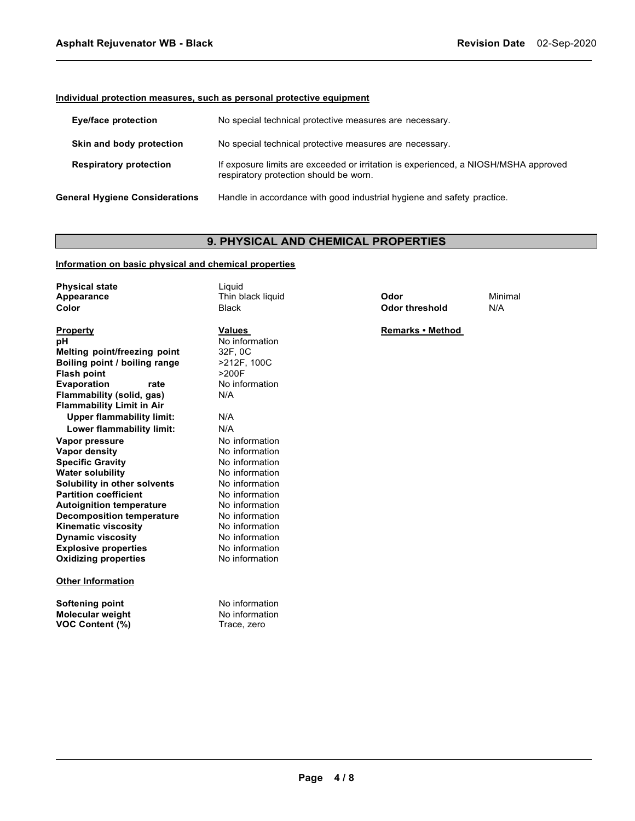### **Individual protection measures, such as personal protective equipment**

| Eye/face protection                   | No special technical protective measures are necessary.                                                                       |
|---------------------------------------|-------------------------------------------------------------------------------------------------------------------------------|
| Skin and body protection              | No special technical protective measures are necessary.                                                                       |
| <b>Respiratory protection</b>         | If exposure limits are exceeded or irritation is experienced, a NIOSH/MSHA approved<br>respiratory protection should be worn. |
| <b>General Hygiene Considerations</b> | Handle in accordance with good industrial hygiene and safety practice.                                                        |

# **9. PHYSICAL AND CHEMICAL PROPERTIES**

# **Information on basic physical and chemical properties**

| <b>Physical state</b><br>Appearance<br>Color           | Liquid<br>Thin black liquid<br><b>Black</b>     | Odor<br><b>Odor threshold</b> | Minimal<br>N/A |
|--------------------------------------------------------|-------------------------------------------------|-------------------------------|----------------|
| <b>Property</b>                                        | <b>Values</b>                                   | Remarks . Method              |                |
| рH                                                     | No information                                  |                               |                |
| Melting point/freezing point                           | 32F, 0C                                         |                               |                |
| Boiling point / boiling range                          | >212F, 100C                                     |                               |                |
| Flash point                                            | >200F                                           |                               |                |
| <b>Evaporation</b><br>rate                             | No information                                  |                               |                |
| Flammability (solid, gas)                              | N/A                                             |                               |                |
| <b>Flammability Limit in Air</b>                       |                                                 |                               |                |
| <b>Upper flammability limit:</b>                       | N/A                                             |                               |                |
| Lower flammability limit:                              | N/A                                             |                               |                |
| Vapor pressure                                         | No information                                  |                               |                |
| Vapor density                                          | No information                                  |                               |                |
| <b>Specific Gravity</b>                                | No information                                  |                               |                |
| Water solubility                                       | No information                                  |                               |                |
| Solubility in other solvents                           | No information                                  |                               |                |
| <b>Partition coefficient</b>                           | No information                                  |                               |                |
| <b>Autoignition temperature</b>                        | No information                                  |                               |                |
| <b>Decomposition temperature</b>                       | No information                                  |                               |                |
| <b>Kinematic viscosity</b>                             | No information                                  |                               |                |
| <b>Dynamic viscosity</b>                               | No information                                  |                               |                |
| <b>Explosive properties</b>                            | No information                                  |                               |                |
| <b>Oxidizing properties</b>                            | No information                                  |                               |                |
| <b>Other Information</b>                               |                                                 |                               |                |
| Softening point<br>Molecular weight<br>VOC Content (%) | No information<br>No information<br>Trace, zero |                               |                |
|                                                        |                                                 |                               |                |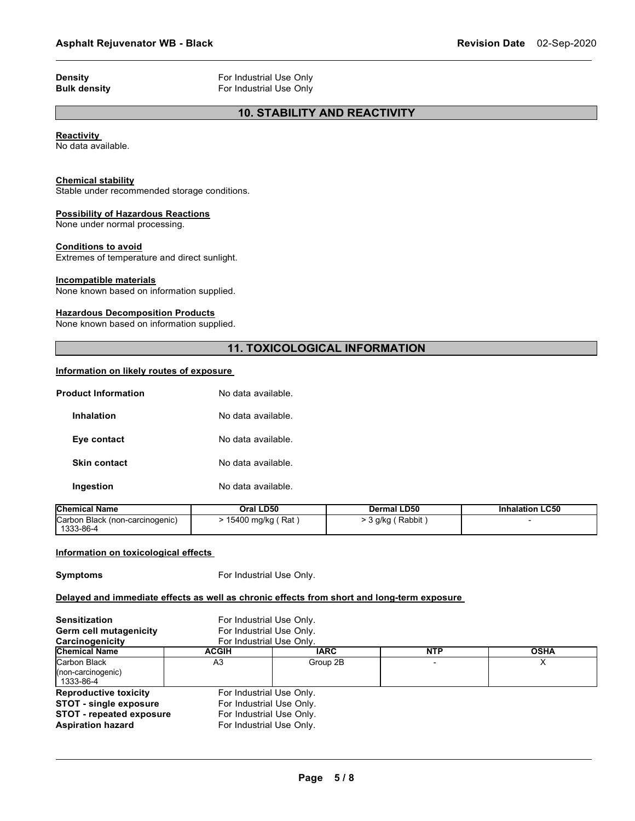**Density Bulk density For Industrial Use Only**<br> **Bulk density For Industrial Use Only For Industrial Use Only** 

# **10. STABILITY AND REACTIVITY**

#### **Reactivity**

No data available.

#### **Chemical stability**

Stable under recommended storage conditions.

#### **Possibility of Hazardous Reactions**

None under normal processing.

#### **Conditions to avoid**

Extremes of temperature and direct sunlight.

#### **Incompatible materials**

None known based on information supplied.

#### **Hazardous Decomposition Products**

None known based on information supplied.

# **11. TOXICOLOGICAL INFORMATION**

#### **Information on likely routes of exposure**

| Product Information | No data available. |
|---------------------|--------------------|
| Inhalation          | No data available. |
| Eye contact         | No data available. |
| <b>Skin contact</b> | No data available. |
| Ingestion           | No data available. |

| <b>Chemical Name</b>                         | Oral LD50             | Dermal LD50        | <b>Inhalation LC50</b> |
|----------------------------------------------|-----------------------|--------------------|------------------------|
| Carbon Black (non-carcinogenic)<br>1333-86-4 | → 15400 mg/kg ( Rat ) | ・3 g/kg ( Rabbit , |                        |

#### **Information on toxicological effects**

**Symptoms** For Industrial Use Only.

#### **Delayed and immediate effects as well as chronic effects from short and long-term exposure**

| <b>Sensitization</b><br><b>Germ cell mutagenicity</b><br>Carcinogenicity                                                     | For Industrial Use Only.<br>For Industrial Use Only.<br>For Industrial Use Only.                             |             |            |             |
|------------------------------------------------------------------------------------------------------------------------------|--------------------------------------------------------------------------------------------------------------|-------------|------------|-------------|
| <b>Chemical Name</b>                                                                                                         | <b>ACGIH</b>                                                                                                 | <b>IARC</b> | <b>NTP</b> | <b>OSHA</b> |
| Carbon Black<br>(non-carcinogenic)<br>1333-86-4                                                                              | A3                                                                                                           | Group 2B    |            |             |
| <b>Reproductive toxicity</b><br><b>STOT - single exposure</b><br><b>STOT - repeated exposure</b><br><b>Aspiration hazard</b> | For Industrial Use Only.<br>For Industrial Use Only.<br>For Industrial Use Only.<br>For Industrial Use Only. |             |            |             |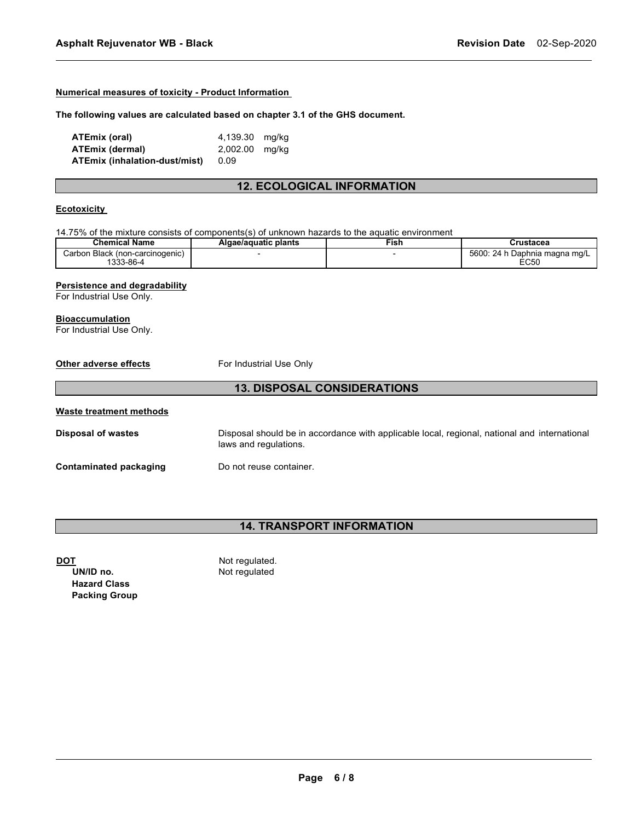#### **Numerical measures of toxicity - Product Information**

#### **The following values are calculated based on chapter 3.1 of the GHS document.**

| ATEmix (oral)                 | 4,139.30 mg/kg |  |
|-------------------------------|----------------|--|
| ATEmix (dermal)               | 2,002.00 mg/kg |  |
| ATEmix (inhalation-dust/mist) | 0.09           |  |

# **12. ECOLOGICAL INFORMATION**

#### **Ecotoxicity**

14.75% of the mixture consists of components(s) of unknown hazards to the aquatic environment

| <b>Chemical Name</b>                   | Algae/aguatic plants | ™ish | Crustacea                               |
|----------------------------------------|----------------------|------|-----------------------------------------|
| ı Black (non-carcinogenic)<br>شcarbon. |                      |      | 5600:<br>24 h D<br>ו Daphnia maɑna mɑ/L |
| . აკ3-86-4                             |                      |      | EC50                                    |

#### **Persistence and degradability**

For Industrial Use Only.

#### **Bioaccumulation**

For Industrial Use Only.

| Other adverse effects              | For Industrial Use Only                                                                                               |  |  |
|------------------------------------|-----------------------------------------------------------------------------------------------------------------------|--|--|
| <b>13. DISPOSAL CONSIDERATIONS</b> |                                                                                                                       |  |  |
| Waste treatment methods            |                                                                                                                       |  |  |
| <b>Disposal of wastes</b>          | Disposal should be in accordance with applicable local, regional, national and international<br>laws and regulations. |  |  |
| Contaminated packaging             | Do not reuse container.                                                                                               |  |  |

# **14. TRANSPORT INFORMATION**

**T**<br> **DOTE**<br> **DOTE**<br> **DOTE**<br> **DOTE**<br> **DOTE**<br> **DOTE**<br> **DOTE**<br> **DOTE**<br> **DOTE**<br> **DOTE Not regulated** 

**Hazard Class Packing Group**

**Page 6 / 8**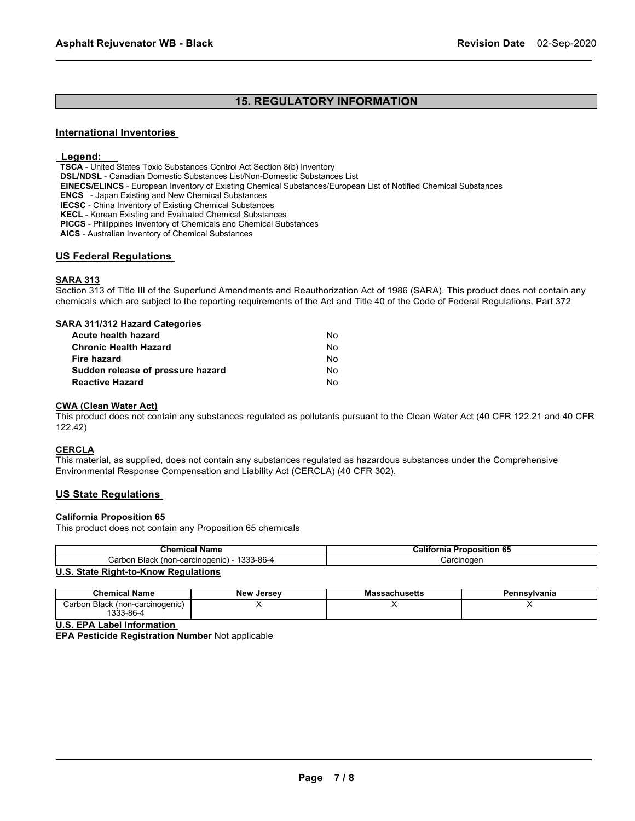# **15. REGULATORY INFORMATION**

#### **International Inventories**

#### **Legend:**

**TSCA** - United States Toxic Substances Control Act Section 8(b) Inventory

**DSL/NDSL** - Canadian Domestic Substances List/Non-Domestic Substances List

**EINECS/ELINCS** - European Inventory of Existing Chemical Substances/European List of Notified Chemical Substances

**ENCS** - Japan Existing and New Chemical Substances

**IECSC** - China Inventory of Existing Chemical Substances

**KECL** - Korean Existing and Evaluated Chemical Substances

**PICCS** - Philippines Inventory of Chemicals and Chemical Substances

**AICS** - Australian Inventory of Chemical Substances

#### **US Federal Regulations**

#### **SARA 313**

Section 313 of Title III of the Superfund Amendments and Reauthorization Act of 1986 (SARA). This product does not contain any chemicals which are subject to the reporting requirements of the Act and Title 40 of the Code of Federal Regulations, Part 372

| <b>SARA 311/312 Hazard Categories</b> |    |
|---------------------------------------|----|
| Acute health hazard                   | N٥ |
| <b>Chronic Health Hazard</b>          | N٥ |
| Fire hazard                           | N٥ |
| Sudden release of pressure hazard     | N٥ |

**Reactive Hazard** No

#### **CWA (Clean Water Act)**

This product does not contain any substances regulated as pollutants pursuant to the Clean Water Act (40 CFR 122.21 and 40 CFR 122.42)

#### **CERCLA**

This material, as supplied, does not contain any substances regulated as hazardous substances under the Comprehensive Environmental Response Compensation and Liability Act (CERCLA) (40 CFR 302).

#### **US State Regulations**

#### **California Proposition 65**

This product does not contain any Proposition 65 chemicals

| <b>Chemical Name</b>                                     | .<br>Proposition 65 ا<br>'ornia |
|----------------------------------------------------------|---------------------------------|
| 1333-86-4<br>Black<br>. (non-carcinogenic) -<br>' arbon. | Carcınoqen                      |
| . State Right-to-Know Regulations<br>U.S.                |                                 |

#### **U.S. State Right-to-Know Regulations**

| Chemical Name                               | <b>New Jersey</b> | Massachusetts | Pennsvlvania |
|---------------------------------------------|-------------------|---------------|--------------|
| Carbon Black (non-carcinogenic)<br>333-86-4 |                   |               |              |

**U.S. EPA Label Information**

**EPA Pesticide Registration Number** Not applicable